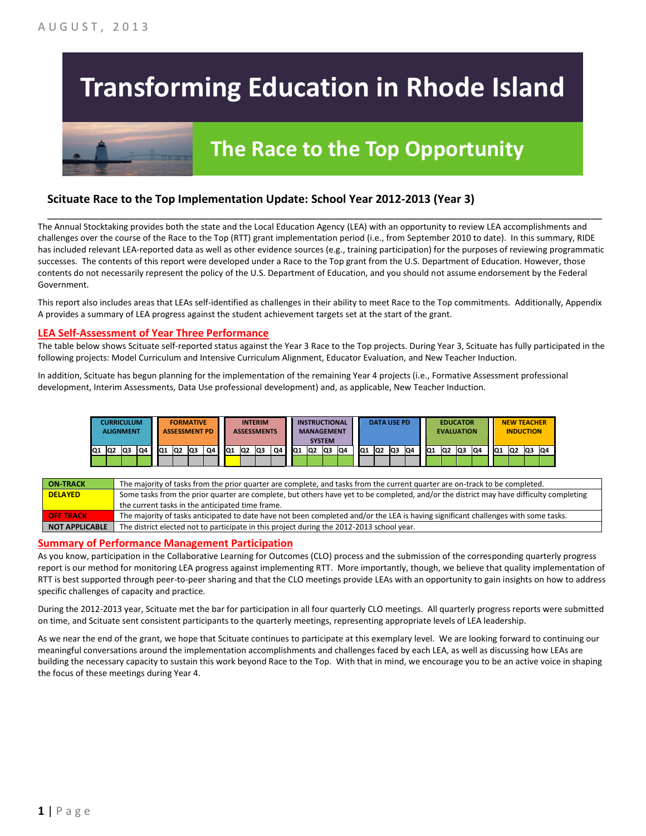# **Transforming Education in Rhode Island**

# **The Race to the Top Opportunity**

### **Scituate Race to the Top Implementation Update: School Year 2012-2013 (Year 3)**

The Annual Stocktaking provides both the state and the Local Education Agency (LEA) with an opportunity to review LEA accomplishments and challenges over the course of the Race to the Top (RTT) grant implementation period (i.e., from September 2010 to date). In this summary, RIDE has included relevant LEA-reported data as well as other evidence sources (e.g., training participation) for the purposes of reviewing programmatic successes. The contents of this report were developed under a Race to the Top grant from the U.S. Department of Education. However, those contents do not necessarily represent the policy of the U.S. Department of Education, and you should not assume endorsement by the Federal Government.

\_\_\_\_\_\_\_\_\_\_\_\_\_\_\_\_\_\_\_\_\_\_\_\_\_\_\_\_\_\_\_\_\_\_\_\_\_\_\_\_\_\_\_\_\_\_\_\_\_\_\_\_\_\_\_\_\_\_\_\_\_\_\_\_\_\_\_\_\_\_\_\_\_\_\_\_\_\_\_\_\_\_\_\_\_\_\_\_\_\_\_\_\_\_\_\_

This report also includes areas that LEAs self-identified as challenges in their ability to meet Race to the Top commitments. Additionally, Appendix A provides a summary of LEA progress against the student achievement targets set at the start of the grant.

#### **LEA Self-Assessment of Year Three Performance**

The table below shows Scituate self-reported status against the Year 3 Race to the Top projects. During Year 3, Scituate has fully participated in the following projects: Model Curriculum and Intensive Curriculum Alignment, Educator Evaluation, and New Teacher Induction.

In addition, Scituate has begun planning for the implementation of the remaining Year 4 projects (i.e., Formative Assessment professional development, Interim Assessments, Data Use professional development) and, as applicable, New Teacher Induction.

|    |    | CURRICULUM<br><b>ALIGNMENT</b> |    |    |                | <b>FORMATIVE</b><br><b>ASSESSMENT PD</b> |    |     |                 | <b>INTERIM</b><br><b>ASSESSMENTS</b> |    |     |                | <b>INSTRUCTIONAL</b><br><b>MANAGEMENT</b><br><b>SYSTEM</b> |     |                 | <b>DATA USE PD</b> |    |     |                 | <b>EDUCATOR</b><br><b>EVALUATION</b> |    |    |                | <b>NEW TEACHER</b> | <b>INDUCTION</b> |    |
|----|----|--------------------------------|----|----|----------------|------------------------------------------|----|-----|-----------------|--------------------------------------|----|-----|----------------|------------------------------------------------------------|-----|-----------------|--------------------|----|-----|-----------------|--------------------------------------|----|----|----------------|--------------------|------------------|----|
| Q1 | Q2 | Q3                             | Q4 | Q1 | Q <sub>2</sub> | lQ3                                      | Q4 | IQ1 | lQ <sub>2</sub> | Q3                                   | Q4 | IQ1 | Q <sub>2</sub> | lQ3                                                        | IQ4 | IQ <sub>1</sub> | Q2                 | Q3 | IQ4 | IQ <sub>1</sub> | Q <sub>2</sub>                       | Q3 | Q4 | Q <sub>1</sub> | Q <sub>2</sub>     | Q3               | Q4 |
|    |    |                                |    |    |                |                                          |    |     |                 |                                      |    |     |                |                                                            |     |                 |                    |    |     |                 |                                      |    |    |                |                    |                  |    |

| <b>ON-TRACK</b>       | The majority of tasks from the prior quarter are complete, and tasks from the current quarter are on-track to be completed.             |
|-----------------------|-----------------------------------------------------------------------------------------------------------------------------------------|
| <b>DELAYED</b>        | Some tasks from the prior quarter are complete, but others have yet to be completed, and/or the district may have difficulty completing |
|                       | the current tasks in the anticipated time frame.                                                                                        |
| <b>OFF TRACK</b>      | The majority of tasks anticipated to date have not been completed and/or the LEA is having significant challenges with some tasks.      |
| <b>NOT APPLICABLE</b> | The district elected not to participate in this project during the 2012-2013 school year.                                               |

#### **Summary of Performance Management Participation**

As you know, participation in the Collaborative Learning for Outcomes (CLO) process and the submission of the corresponding quarterly progress report is our method for monitoring LEA progress against implementing RTT. More importantly, though, we believe that quality implementation of RTT is best supported through peer-to-peer sharing and that the CLO meetings provide LEAs with an opportunity to gain insights on how to address specific challenges of capacity and practice.

During the 2012-2013 year, Scituate met the bar for participation in all four quarterly CLO meetings. All quarterly progress reports were submitted on time, and Scituate sent consistent participants to the quarterly meetings, representing appropriate levels of LEA leadership.

As we near the end of the grant, we hope that Scituate continues to participate at this exemplary level. We are looking forward to continuing our meaningful conversations around the implementation accomplishments and challenges faced by each LEA, as well as discussing how LEAs are building the necessary capacity to sustain this work beyond Race to the Top. With that in mind, we encourage you to be an active voice in shaping the focus of these meetings during Year 4.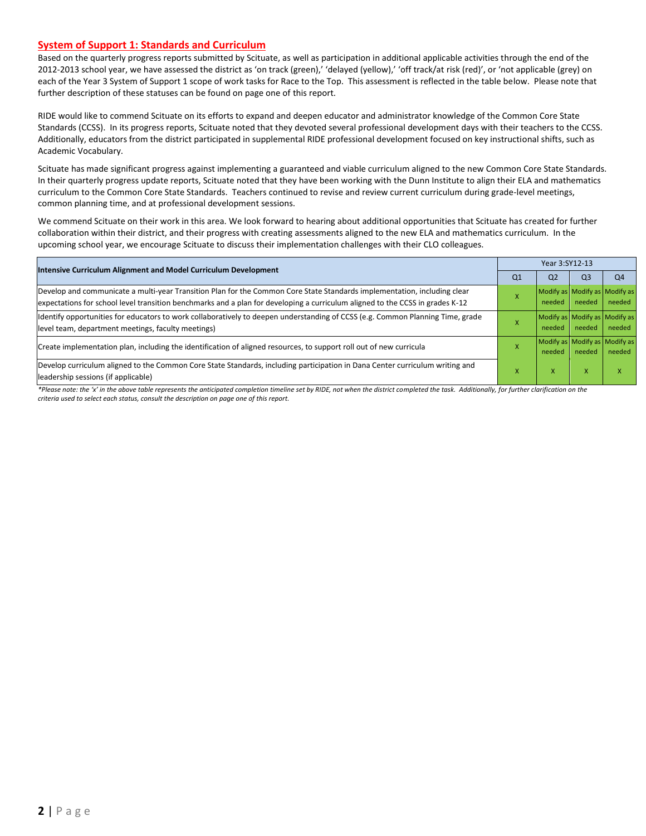#### **System of Support 1: Standards and Curriculum**

Based on the quarterly progress reports submitted by Scituate, as well as participation in additional applicable activities through the end of the 2012-2013 school year, we have assessed the district as 'on track (green),' 'delayed (yellow),' 'off track/at risk (red)', or 'not applicable (grey) on each of the Year 3 System of Support 1 scope of work tasks for Race to the Top. This assessment is reflected in the table below. Please note that further description of these statuses can be found on page one of this report.

RIDE would like to commend Scituate on its efforts to expand and deepen educator and administrator knowledge of the Common Core State Standards (CCSS). In its progress reports, Scituate noted that they devoted several professional development days with their teachers to the CCSS. Additionally, educators from the district participated in supplemental RIDE professional development focused on key instructional shifts, such as Academic Vocabulary.

Scituate has made significant progress against implementing a guaranteed and viable curriculum aligned to the new Common Core State Standards. In their quarterly progress update reports, Scituate noted that they have been working with the Dunn Institute to align their ELA and mathematics curriculum to the Common Core State Standards. Teachers continued to revise and review current curriculum during grade-level meetings, common planning time, and at professional development sessions.

We commend Scituate on their work in this area. We look forward to hearing about additional opportunities that Scituate has created for further collaboration within their district, and their progress with creating assessments aligned to the new ELA and mathematics curriculum. In the upcoming school year, we encourage Scituate to discuss their implementation challenges with their CLO colleagues.

| Intensive Curriculum Alignment and Model Curriculum Development                                                                                                                                                                                           | Year 3:SY12-13 |                                         |                |                |  |  |  |
|-----------------------------------------------------------------------------------------------------------------------------------------------------------------------------------------------------------------------------------------------------------|----------------|-----------------------------------------|----------------|----------------|--|--|--|
|                                                                                                                                                                                                                                                           | Q <sub>1</sub> | Q <sub>2</sub>                          | Q <sub>3</sub> | Q <sub>4</sub> |  |  |  |
| Develop and communicate a multi-year Transition Plan for the Common Core State Standards implementation, including clear<br>expectations for school level transition benchmarks and a plan for developing a curriculum aligned to the CCSS in grades K-12 |                | Modify as Modify as Modify as<br>needed | needed         | needed         |  |  |  |
| Identify opportunities for educators to work collaboratively to deepen understanding of CCSS (e.g. Common Planning Time, grade<br>level team, department meetings, faculty meetings)                                                                      |                | Modify as Modify as Modify as<br>needed | needed         | needed         |  |  |  |
| Create implementation plan, including the identification of aligned resources, to support roll out of new curricula                                                                                                                                       |                | Modify as Modify as Modify as<br>needed | needed         | needed         |  |  |  |
| Develop curriculum aligned to the Common Core State Standards, including participation in Dana Center curriculum writing and<br>leadership sessions (if applicable)                                                                                       |                | x                                       | X              | X              |  |  |  |

*\*Please note: the 'x' in the above table represents the anticipated completion timeline set by RIDE, not when the district completed the task. Additionally, for further clarification on the criteria used to select each status, consult the description on page one of this report.*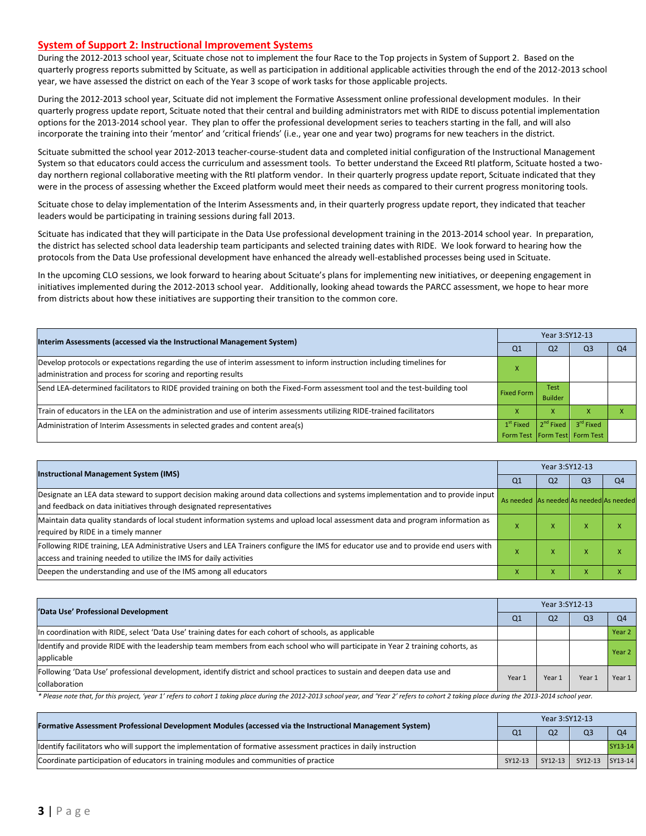#### **System of Support 2: Instructional Improvement Systems**

During the 2012-2013 school year, Scituate chose not to implement the four Race to the Top projects in System of Support 2. Based on the quarterly progress reports submitted by Scituate, as well as participation in additional applicable activities through the end of the 2012-2013 school year, we have assessed the district on each of the Year 3 scope of work tasks for those applicable projects.

During the 2012-2013 school year, Scituate did not implement the Formative Assessment online professional development modules. In their quarterly progress update report, Scituate noted that their central and building administrators met with RIDE to discuss potential implementation options for the 2013-2014 school year. They plan to offer the professional development series to teachers starting in the fall, and will also incorporate the training into their 'mentor' and 'critical friends' (i.e., year one and year two) programs for new teachers in the district.

Scituate submitted the school year 2012-2013 teacher-course-student data and completed initial configuration of the Instructional Management System so that educators could access the curriculum and assessment tools. To better understand the Exceed RtI platform, Scituate hosted a twoday northern regional collaborative meeting with the RtI platform vendor. In their quarterly progress update report, Scituate indicated that they were in the process of assessing whether the Exceed platform would meet their needs as compared to their current progress monitoring tools.

Scituate chose to delay implementation of the Interim Assessments and, in their quarterly progress update report, they indicated that teacher leaders would be participating in training sessions during fall 2013.

Scituate has indicated that they will participate in the Data Use professional development training in the 2013-2014 school year. In preparation, the district has selected school data leadership team participants and selected training dates with RIDE. We look forward to hearing how the protocols from the Data Use professional development have enhanced the already well-established processes being used in Scituate.

In the upcoming CLO sessions, we look forward to hearing about Scituate's plans for implementing new initiatives, or deepening engagement in initiatives implemented during the 2012-2013 school year. Additionally, looking ahead towards the PARCC assessment, we hope to hear more from districts about how these initiatives are supporting their transition to the common core.

| Interim Assessments (accessed via the Instructional Management System)                                                                                                                  | Year 3:SY12-13    |                               |                               |    |  |  |  |
|-----------------------------------------------------------------------------------------------------------------------------------------------------------------------------------------|-------------------|-------------------------------|-------------------------------|----|--|--|--|
|                                                                                                                                                                                         | Q <sub>1</sub>    | Q <sub>2</sub>                | Q3                            | Q4 |  |  |  |
| Develop protocols or expectations regarding the use of interim assessment to inform instruction including timelines for<br>administration and process for scoring and reporting results | x                 |                               |                               |    |  |  |  |
| Send LEA-determined facilitators to RIDE provided training on both the Fixed-Form assessment tool and the test-building tool                                                            | <b>Fixed Form</b> | <b>Test</b><br><b>Builder</b> |                               |    |  |  |  |
| Train of educators in the LEA on the administration and use of interim assessments utilizing RIDE-trained facilitators                                                                  | x                 |                               |                               |    |  |  |  |
| Administration of Interim Assessments in selected grades and content area(s)                                                                                                            | $1st$ Fixed       | $ 2^{nd}$ Fixed               | 3 <sup>rd</sup> Fixed         |    |  |  |  |
|                                                                                                                                                                                         |                   |                               | Form Test Form Test Form Test |    |  |  |  |

| <b>Instructional Management System (IMS)</b>                                                                                        |                                         | Year 3:SY12-13 |                |    |  |  |  |
|-------------------------------------------------------------------------------------------------------------------------------------|-----------------------------------------|----------------|----------------|----|--|--|--|
|                                                                                                                                     | Q <sub>1</sub>                          | Q <sub>2</sub> | Q <sub>3</sub> | Q4 |  |  |  |
| Designate an LEA data steward to support decision making around data collections and systems implementation and to provide input    | As needed As needed As needed As needed |                |                |    |  |  |  |
| and feedback on data initiatives through designated representatives                                                                 |                                         |                |                |    |  |  |  |
| Maintain data quality standards of local student information systems and upload local assessment data and program information as    | $\sim$                                  | ж              | X              |    |  |  |  |
| required by RIDE in a timely manner                                                                                                 |                                         |                |                |    |  |  |  |
| Following RIDE training, LEA Administrative Users and LEA Trainers configure the IMS for educator use and to provide end users with |                                         | X              | X              |    |  |  |  |
| access and training needed to utilize the IMS for daily activities                                                                  |                                         |                |                |    |  |  |  |
| Deepen the understanding and use of the IMS among all educators                                                                     |                                         | X              | X              |    |  |  |  |

| 'Data Use' Professional Development                                                                                                           | Year 3:SY12-13 |                |                |                |  |  |
|-----------------------------------------------------------------------------------------------------------------------------------------------|----------------|----------------|----------------|----------------|--|--|
|                                                                                                                                               | Q1             | Q <sub>2</sub> | Q <sub>3</sub> | O <sub>4</sub> |  |  |
| In coordination with RIDE, select 'Data Use' training dates for each cohort of schools, as applicable                                         |                |                |                | Year 2         |  |  |
| ldentify and provide RIDE with the leadership team members from each school who will participate in Year 2 training cohorts, as<br>applicable |                |                |                | Year 2         |  |  |
| Following 'Data Use' professional development, identify district and school practices to sustain and deepen data use and<br>collaboration     | Year 1         | Year 1         | Year           | Year 1         |  |  |

\* Please note that, for this project, 'year 1' refers to cohort 1 taking place during the 2012-2013 school year, and 'Year 2' refers to cohort 2 taking place during the 2013-2014 school year.

| [Formative Assessment Professional Development Modules (accessed via the Instructional Management System)        |                | Year 3:SY12-13 |                         |                |  |  |  |
|------------------------------------------------------------------------------------------------------------------|----------------|----------------|-------------------------|----------------|--|--|--|
|                                                                                                                  | Q <sub>1</sub> | Q <sub>2</sub> | Q <sub>3</sub>          | O <sub>4</sub> |  |  |  |
| ldentify facilitators who will support the implementation of formative assessment practices in daily instruction |                |                |                         | SY13-14        |  |  |  |
| Coordinate participation of educators in training modules and communities of practice                            | SY12-13        |                | SY12-13 SY12-13 SY13-14 |                |  |  |  |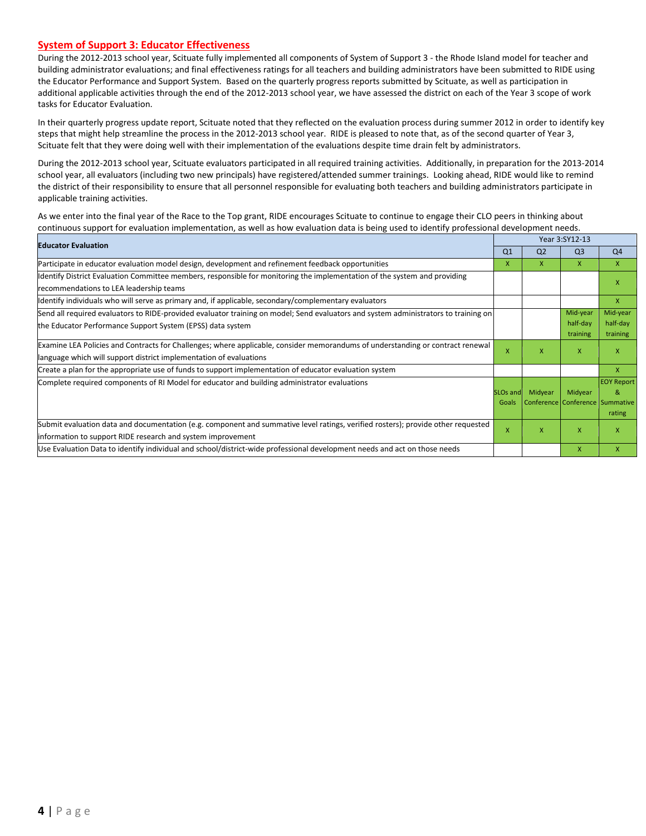#### **System of Support 3: Educator Effectiveness**

During the 2012-2013 school year, Scituate fully implemented all components of System of Support 3 - the Rhode Island model for teacher and building administrator evaluations; and final effectiveness ratings for all teachers and building administrators have been submitted to RIDE using the Educator Performance and Support System. Based on the quarterly progress reports submitted by Scituate, as well as participation in additional applicable activities through the end of the 2012-2013 school year, we have assessed the district on each of the Year 3 scope of work tasks for Educator Evaluation.

In their quarterly progress update report, Scituate noted that they reflected on the evaluation process during summer 2012 in order to identify key steps that might help streamline the process in the 2012-2013 school year. RIDE is pleased to note that, as of the second quarter of Year 3, Scituate felt that they were doing well with their implementation of the evaluations despite time drain felt by administrators.

During the 2012-2013 school year, Scituate evaluators participated in all required training activities. Additionally, in preparation for the 2013-2014 school year, all evaluators (including two new principals) have registered/attended summer trainings. Looking ahead, RIDE would like to remind the district of their responsibility to ensure that all personnel responsible for evaluating both teachers and building administrators participate in applicable training activities.

As we enter into the final year of the Race to the Top grant, RIDE encourages Scituate to continue to engage their CLO peers in thinking about continuous support for evaluation implementation, as well as how evaluation data is being used to identify professional development needs.

| <b>Educator Evaluation</b>                                                                                                          |                 |                | Year 3:SY12-13                  |                   |
|-------------------------------------------------------------------------------------------------------------------------------------|-----------------|----------------|---------------------------------|-------------------|
|                                                                                                                                     | Q <sub>1</sub>  | Q <sub>2</sub> | Q <sub>3</sub>                  | Q <sub>4</sub>    |
| Participate in educator evaluation model design, development and refinement feedback opportunities                                  | X               | X              | X                               | $\mathsf{X}$      |
| Identify District Evaluation Committee members, responsible for monitoring the implementation of the system and providing           |                 |                |                                 | X                 |
| recommendations to LEA leadership teams                                                                                             |                 |                |                                 |                   |
| ldentify individuals who will serve as primary and, if applicable, secondary/complementary evaluators                               |                 |                |                                 | $\mathsf{x}$      |
| Send all required evaluators to RIDE-provided evaluator training on model; Send evaluators and system administrators to training on |                 |                | Mid-year                        | Mid-year          |
| the Educator Performance Support System (EPSS) data system                                                                          |                 |                | half-day                        | half-day          |
|                                                                                                                                     |                 |                | training                        | training          |
| Examine LEA Policies and Contracts for Challenges; where applicable, consider memorandums of understanding or contract renewal      | x               | X              | $\mathsf{x}$                    | X                 |
| language which will support district implementation of evaluations                                                                  |                 |                |                                 |                   |
| Create a plan for the appropriate use of funds to support implementation of educator evaluation system                              |                 |                |                                 | X                 |
| Complete required components of RI Model for educator and building administrator evaluations                                        |                 |                |                                 | <b>EOY Report</b> |
|                                                                                                                                     | <b>SLOs and</b> | Midyear        | Midyear                         | 8                 |
|                                                                                                                                     | Goals           |                | Conference Conference Summative |                   |
|                                                                                                                                     |                 |                |                                 | rating            |
| Submit evaluation data and documentation (e.g. component and summative level ratings, verified rosters); provide other requested    | X               | X              | $\mathsf{x}$                    | X                 |
| information to support RIDE research and system improvement                                                                         |                 |                |                                 |                   |
| Use Evaluation Data to identify individual and school/district-wide professional development needs and act on those needs           |                 |                | $\mathsf{x}$                    | X                 |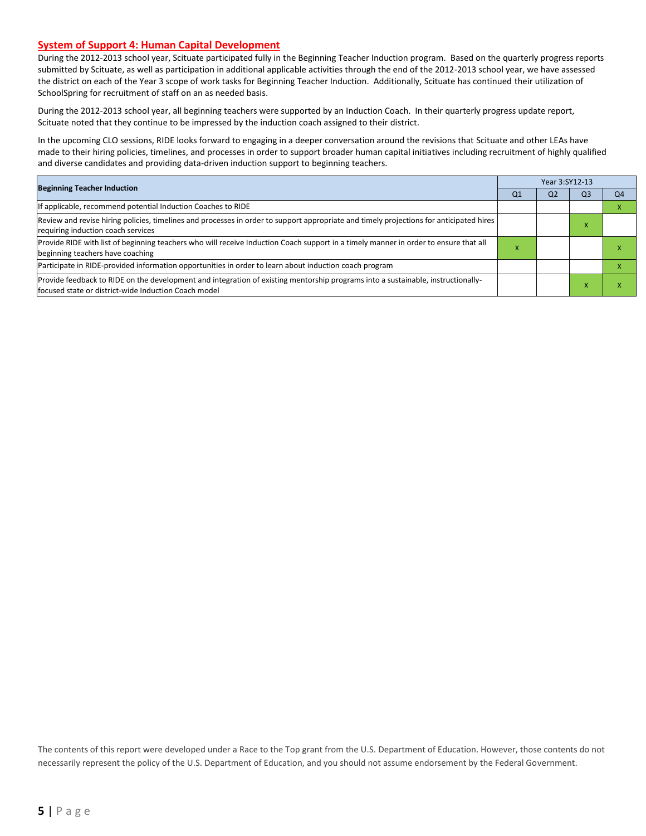#### **System of Support 4: Human Capital Development**

During the 2012-2013 school year, Scituate participated fully in the Beginning Teacher Induction program. Based on the quarterly progress reports submitted by Scituate, as well as participation in additional applicable activities through the end of the 2012-2013 school year, we have assessed the district on each of the Year 3 scope of work tasks for Beginning Teacher Induction. Additionally, Scituate has continued their utilization of SchoolSpring for recruitment of staff on an as needed basis.

During the 2012-2013 school year, all beginning teachers were supported by an Induction Coach. In their quarterly progress update report, Scituate noted that they continue to be impressed by the induction coach assigned to their district.

In the upcoming CLO sessions, RIDE looks forward to engaging in a deeper conversation around the revisions that Scituate and other LEAs have made to their hiring policies, timelines, and processes in order to support broader human capital initiatives including recruitment of highly qualified and diverse candidates and providing data-driven induction support to beginning teachers.

| <b>Beginning Teacher Induction</b>                                                                                                                                                       |    |                | Year 3:SY12-13 |    |  |
|------------------------------------------------------------------------------------------------------------------------------------------------------------------------------------------|----|----------------|----------------|----|--|
|                                                                                                                                                                                          | Q1 | Q <sub>2</sub> | Q <sub>3</sub> | Q4 |  |
| If applicable, recommend potential Induction Coaches to RIDE                                                                                                                             |    |                |                |    |  |
| Review and revise hiring policies, timelines and processes in order to support appropriate and timely projections for anticipated hires<br>requiring induction coach services            |    |                |                |    |  |
| Provide RIDE with list of beginning teachers who will receive Induction Coach support in a timely manner in order to ensure that all<br>beginning teachers have coaching                 |    |                |                |    |  |
| Participate in RIDE-provided information opportunities in order to learn about induction coach program                                                                                   |    |                |                |    |  |
| Provide feedback to RIDE on the development and integration of existing mentorship programs into a sustainable, instructionally-<br>focused state or district-wide Induction Coach model |    |                |                |    |  |

The contents of this report were developed under a Race to the Top grant from the U.S. Department of Education. However, those contents do not necessarily represent the policy of the U.S. Department of Education, and you should not assume endorsement by the Federal Government.